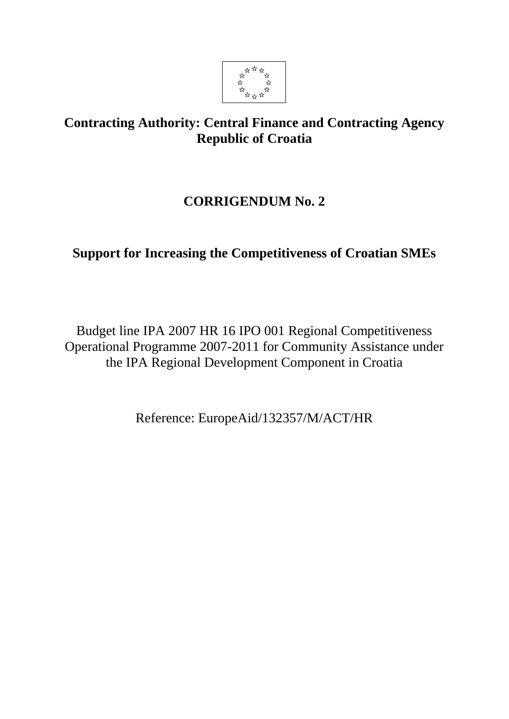

# **Contracting Authority: Central Finance and Contracting Agency Republic of Croatia**

# **CORRIGENDUM No. 2**

# **Support for Increasing the Competitiveness of Croatian SMEs**

Budget line IPA 2007 HR 16 IPO 001 Regional Competitiveness Operational Programme 2007-2011 for Community Assistance under the IPA Regional Development Component in Croatia

Reference: EuropeAid/132357/M/ACT/HR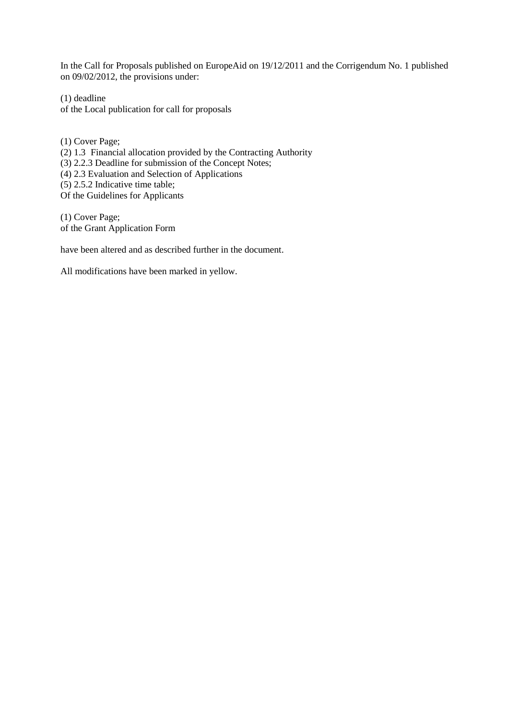In the Call for Proposals published on EuropeAid on 19/12/2011 and the Corrigendum No. 1 published on 09/02/2012, the provisions under:

(1) deadline of the Local publication for call for proposals

(1) Cover Page; (2) 1.3 Financial allocation provided by the Contracting Authority  $(3)$  2.2.3 Deadline for submission of the Concept Notes; (4) 2.3 Evaluation and Selection of Applications (5) 2.5.2 Indicative time table; Of the Guidelines for Applicants

(1) Cover Page; of the Grant Application Form

have been altered and as described further in the document.

All modifications have been marked in yellow.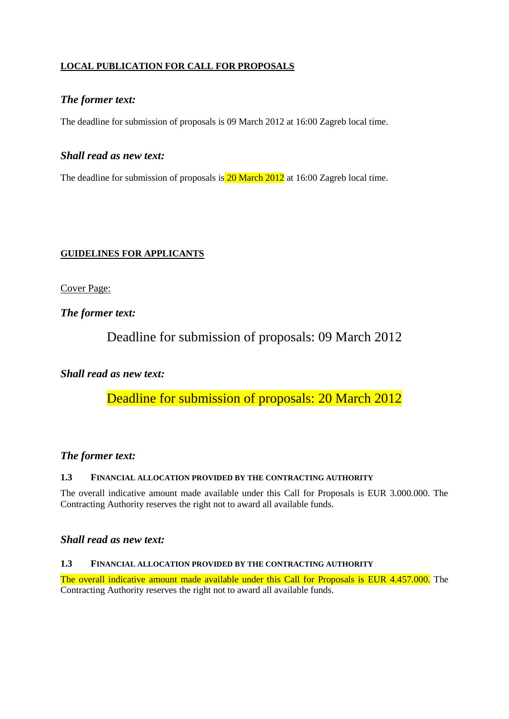# **LOCAL PUBLICATION FOR CALL FOR PROPOSALS**

# *The former text:*

The deadline for submission of proposals is 09 March 2012 at 16:00 Zagreb local time.

# *Shall read as new text:*

The deadline for submission of proposals is 20 March 2012 at 16:00 Zagreb local time.

# **GUIDELINES FOR APPLICANTS**

Cover Page:

*The former text:*

Deadline for submission of proposals: 09 March 2012

# *Shall read as new text:*

Deadline for submission of proposals: 20 March 2012

# *The former text:*

## **1.3 FINANCIAL ALLOCATION PROVIDED BY THE CONTRACTING AUTHORITY**

The overall indicative amount made available under this Call for Proposals is EUR 3.000.000. The Contracting Authority reserves the right not to award all available funds.

# *Shall read as new text:*

#### **1.3 FINANCIAL ALLOCATION PROVIDED BY THE CONTRACTING AUTHORITY**

The overall indicative amount made available under this Call for Proposals is EUR 4.457.000. The Contracting Authority reserves the right not to award all available funds.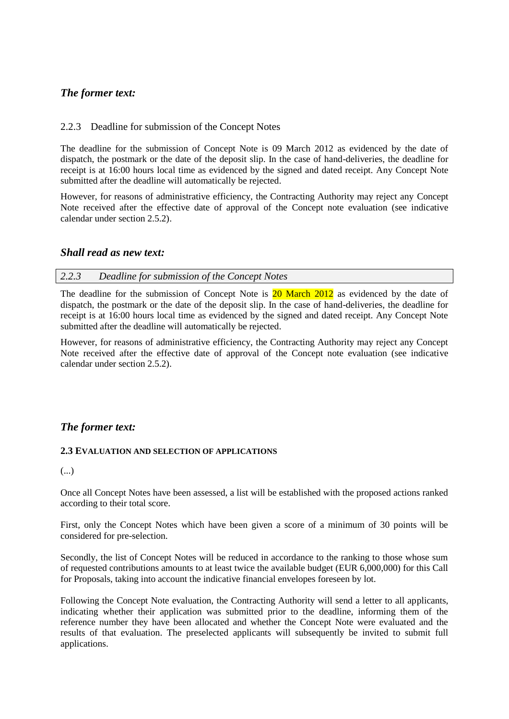# *The former text:*

## 2.2.3 Deadline for submission of the Concept Notes

The deadline for the submission of Concept Note is 09 March 2012 as evidenced by the date of dispatch, the postmark or the date of the deposit slip. In the case of hand-deliveries, the deadline for receipt is at 16:00 hours local time as evidenced by the signed and dated receipt. Any Concept Note submitted after the deadline will automatically be rejected.

However, for reasons of administrative efficiency, the Contracting Authority may reject any Concept Note received after the effective date of approval of the Concept note evaluation (see indicative calendar under section 2.5.2).

## *Shall read as new text:*

### *2.2.3 Deadline for submission of the Concept Notes*

The deadline for the submission of Concept Note is 20 March 2012 as evidenced by the date of dispatch, the postmark or the date of the deposit slip. In the case of hand-deliveries, the deadline for receipt is at 16:00 hours local time as evidenced by the signed and dated receipt. Any Concept Note submitted after the deadline will automatically be rejected.

However, for reasons of administrative efficiency, the Contracting Authority may reject any Concept Note received after the effective date of approval of the Concept note evaluation (see indicative calendar under section 2.5.2).

# *The former text:*

#### **2.3 EVALUATION AND SELECTION OF APPLICATIONS**

(...)

Once all Concept Notes have been assessed, a list will be established with the proposed actions ranked according to their total score.

First, only the Concept Notes which have been given a score of a minimum of 30 points will be considered for pre-selection.

Secondly, the list of Concept Notes will be reduced in accordance to the ranking to those whose sum of requested contributions amounts to at least twice the available budget (EUR 6,000,000) for this Call for Proposals, taking into account the indicative financial envelopes foreseen by lot.

Following the Concept Note evaluation, the Contracting Authority will send a letter to all applicants, indicating whether their application was submitted prior to the deadline, informing them of the reference number they have been allocated and whether the Concept Note were evaluated and the results of that evaluation. The preselected applicants will subsequently be invited to submit full applications.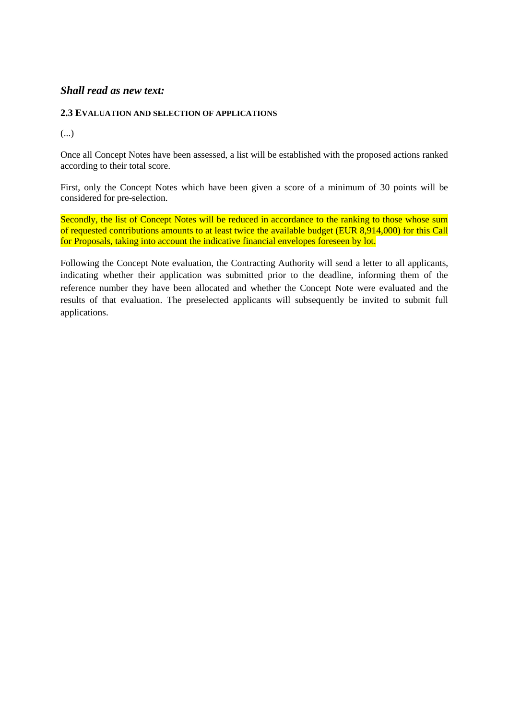# *Shall read as new text:*

### **2.3 EVALUATION AND SELECTION OF APPLICATIONS**

(...)

Once all Concept Notes have been assessed, a list will be established with the proposed actions ranked according to their total score.

First, only the Concept Notes which have been given a score of a minimum of 30 points will be considered for pre-selection.

Secondly, the list of Concept Notes will be reduced in accordance to the ranking to those whose sum of requested contributions amounts to at least twice the available budget (EUR 8,914,000) for this Call for Proposals, taking into account the indicative financial envelopes foreseen by lot.

Following the Concept Note evaluation, the Contracting Authority will send a letter to all applicants, indicating whether their application was submitted prior to the deadline, informing them of the reference number they have been allocated and whether the Concept Note were evaluated and the results of that evaluation. The preselected applicants will subsequently be invited to submit full applications.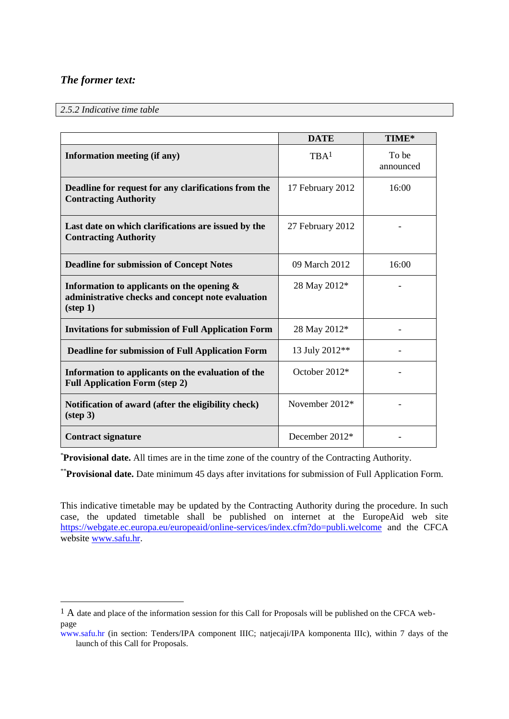# *The former text:*

<u>.</u>

### *2.5.2 Indicative time table*

|                                                                                                                         | <b>DATE</b>      | TIME*              |
|-------------------------------------------------------------------------------------------------------------------------|------------------|--------------------|
| Information meeting (if any)                                                                                            | TBA <sup>1</sup> | To be<br>announced |
| Deadline for request for any clarifications from the<br><b>Contracting Authority</b>                                    | 17 February 2012 | 16:00              |
| Last date on which clarifications are issued by the<br><b>Contracting Authority</b>                                     | 27 February 2012 |                    |
| <b>Deadline for submission of Concept Notes</b>                                                                         | 09 March 2012    | 16:00              |
| Information to applicants on the opening $\&$<br>administrative checks and concept note evaluation<br>$(\text{step 1})$ | 28 May 2012*     |                    |
| <b>Invitations for submission of Full Application Form</b>                                                              | 28 May 2012*     |                    |
| <b>Deadline for submission of Full Application Form</b>                                                                 | 13 July 2012**   |                    |
| Information to applicants on the evaluation of the<br><b>Full Application Form (step 2)</b>                             | October 2012*    |                    |
| Notification of award (after the eligibility check)<br>$(\text{step } 3)$                                               | November 2012*   |                    |
| <b>Contract signature</b>                                                                                               | December $2012*$ |                    |

\***Provisional date.** All times are in the time zone of the country of the Contracting Authority.

\*\***Provisional date.** Date minimum 45 days after invitations for submission of Full Application Form.

This indicative timetable may be updated by the Contracting Authority during the procedure. In such case, the updated timetable shall be published on internet at the EuropeAid web site <https://webgate.ec.europa.eu/europeaid/online-services/index.cfm?do=publi.welcome> and the CFCA website [www.safu.hr.](http://www.safu.hr/)

<sup>&</sup>lt;sup>1</sup> A date and place of the information session for this Call for Proposals will be published on the CFCA webpage

www.safu.hr (in section: Tenders/IPA component IIIC; natjecaji/IPA komponenta IIIc), within 7 days of the launch of this Call for Proposals.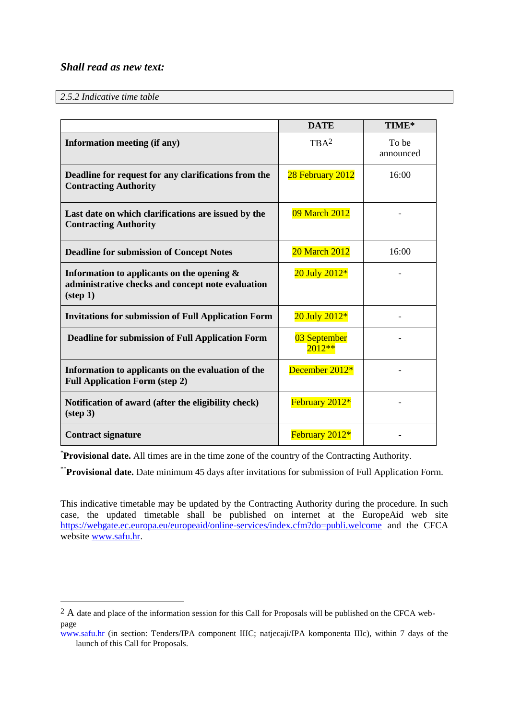# *Shall read as new text:*

### *2.5.2 Indicative time table*

<u>.</u>

|                                                                                                                         | <b>DATE</b>              | TIME*              |
|-------------------------------------------------------------------------------------------------------------------------|--------------------------|--------------------|
| Information meeting (if any)                                                                                            | TBA <sup>2</sup>         | To be<br>announced |
| Deadline for request for any clarifications from the<br><b>Contracting Authority</b>                                    | 28 February 2012         | 16:00              |
| Last date on which clarifications are issued by the<br><b>Contracting Authority</b>                                     | 09 March 2012            |                    |
| <b>Deadline for submission of Concept Notes</b>                                                                         | <b>20 March 2012</b>     | 16:00              |
| Information to applicants on the opening $\&$<br>administrative checks and concept note evaluation<br>$(\text{step 1})$ | 20 July 2012*            |                    |
| <b>Invitations for submission of Full Application Form</b>                                                              | 20 July 2012*            |                    |
| <b>Deadline for submission of Full Application Form</b>                                                                 | 03 September<br>$2012**$ |                    |
| Information to applicants on the evaluation of the<br><b>Full Application Form (step 2)</b>                             | December 2012*           |                    |
| Notification of award (after the eligibility check)<br>$(\text{step } 3)$                                               | February 2012*           |                    |
| <b>Contract signature</b>                                                                                               | February 2012*           |                    |

\***Provisional date.** All times are in the time zone of the country of the Contracting Authority.

\*\***Provisional date.** Date minimum 45 days after invitations for submission of Full Application Form.

This indicative timetable may be updated by the Contracting Authority during the procedure. In such case, the updated timetable shall be published on internet at the EuropeAid web site <https://webgate.ec.europa.eu/europeaid/online-services/index.cfm?do=publi.welcome> and the CFCA website [www.safu.hr.](http://www.safu.hr/)

<sup>&</sup>lt;sup>2</sup> A date and place of the information session for this Call for Proposals will be published on the CFCA webpage

www.safu.hr (in section: Tenders/IPA component IIIC; natjecaji/IPA komponenta IIIc), within 7 days of the launch of this Call for Proposals.